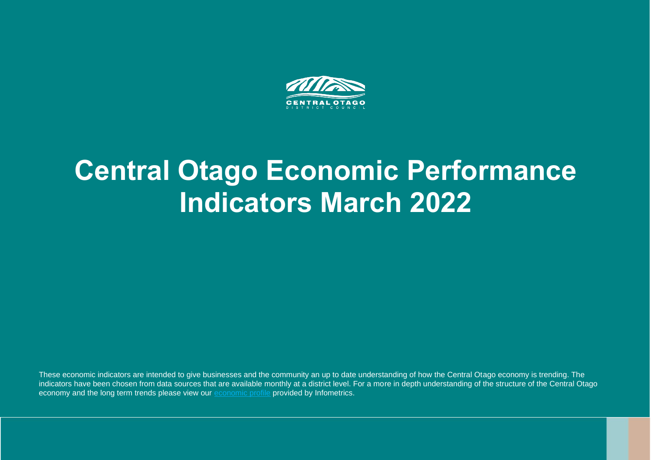

# **Central Otago Economic Performance Indicators March 2022**

These economic indicators are intended to give businesses and the community an up to date understanding of how the Central Otago economy is trending. The indicators have been chosen from data sources that are available monthly at a district level. For a more in depth understanding of the structure of the Central Otago economy and the long term trends please view our [economic profile](https://ecoprofile.infometrics.co.nz/Central+Otago+District) provided by Infometrics.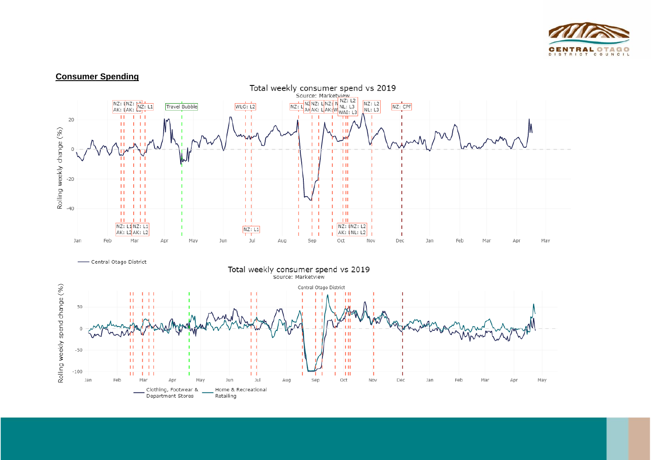

## **Consumer Spending**

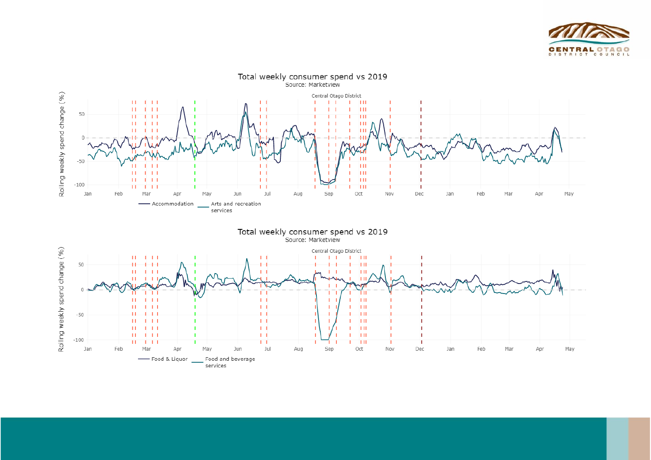

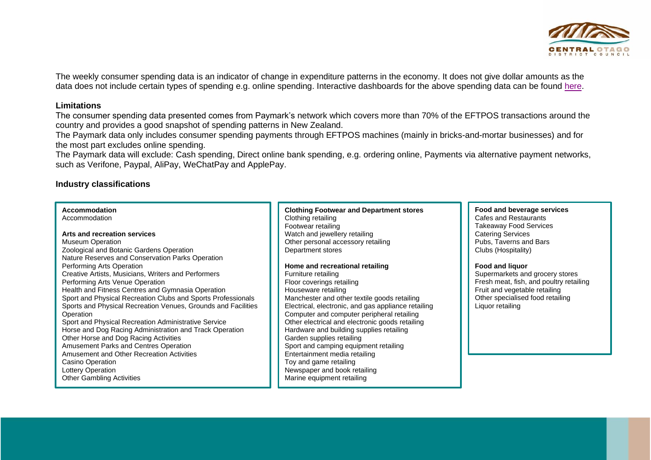

The weekly consumer spending data is an indicator of change in expenditure patterns in the economy. It does not give dollar amounts as the data does not include certain types of spending e.g. online spending. Interactive dashboards for the above spending data can be found [here.](https://mbienz.shinyapps.io/card_spend_covid19/)

### **Limitations**

The consumer spending data presented comes from Paymark's network which covers more than 70% of the EFTPOS transactions around the country and provides a good snapshot of spending patterns in New Zealand.

The Paymark data only includes consumer spending payments through EFTPOS machines (mainly in bricks-and-mortar businesses) and for the most part excludes online spending.

The Paymark data will exclude: Cash spending, Direct online bank spending, e.g. ordering online, Payments via alternative payment networks, such as Verifone, Paypal, AliPay, WeChatPay and ApplePay.

## **Industry classifications**

**Accommodation**

Accommodation

#### **Arts and recreation services**

Museum Operation Zoological and Botanic Gardens Operation Nature Reserves and Conservation Parks Operation Performing Arts Operation Creative Artists, Musicians, Writers and Performers Performing Arts Venue Operation Health and Fitness Centres and Gymnasia Operation Sport and Physical Recreation Clubs and Sports Professionals Sports and Physical Recreation Venues, Grounds and Facilities **Operation** Sport and Physical Recreation Administrative Service Horse and Dog Racing Administration and Track Operation Other Horse and Dog Racing Activities Amusement Parks and Centres Operation Amusement and Other Recreation Activities Casino Operation Lottery Operation Other Gambling Activities

#### **Clothing Footwear and Department stores** Clothing retailing Footwear retailing Watch and jewellery retailing Other personal accessory retailing Department stores

**Home and recreational retailing** Furniture retailing Floor coverings retailing Houseware retailing Manchester and other textile goods retailing Electrical, electronic, and gas appliance retailing Computer and computer peripheral retailing Other electrical and electronic goods retailing Hardware and building supplies retailing Garden supplies retailing Sport and camping equipment retailing Entertainment media retailing Toy and game retailing Newspaper and book retailing Marine equipment retailing

**Food and beverage services** Cafes and Restaurants Takeaway Food Services Catering Services Pubs, Taverns and Bars Clubs (Hospitality)

#### **Food and liquor**

Supermarkets and grocery stores Fresh meat, fish, and poultry retailing Fruit and vegetable retailing Other specialised food retailing Liquor retailing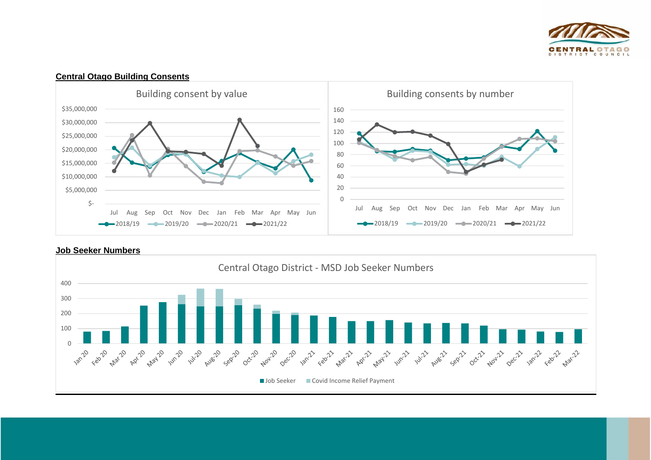



## **Central Otago Building Consents**